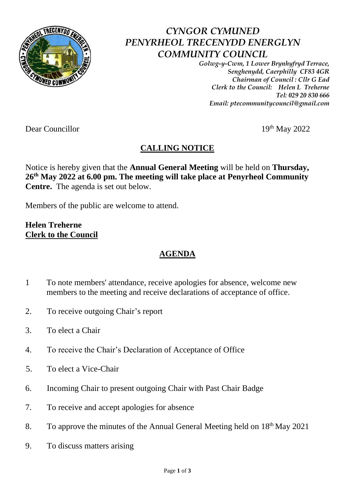

## *CYNGOR CYMUNED PENYRHEOL TRECENYDD ENERGLYN COMMUNITY COUNCIL*

*Golwg-y-Cwm, 1 Lower Brynhyfryd Terrace, Senghenydd, Caerphilly CF83 4GR Chairman of Council : Cllr G Ead Clerk to the Council: Helen L Treherne Tel: 029 20 830 666 Email: ptecommunitycouncil@gmail.com*

Dear Councillor 19th May 2022

## **CALLING NOTICE**

Notice is hereby given that the **Annual General Meeting** will be held on **Thursday, 26 th May 2022 at 6.00 pm. The meeting will take place at Penyrheol Community Centre.** The agenda is set out below.

Members of the public are welcome to attend.

**Helen Treherne Clerk to the Council**

## **AGENDA**

- 1 To note members' attendance, receive apologies for absence, welcome new members to the meeting and receive declarations of acceptance of office.
- 2. To receive outgoing Chair's report
- 3. To elect a Chair
- 4. To receive the Chair's Declaration of Acceptance of Office
- 5. To elect a Vice-Chair
- 6. Incoming Chair to present outgoing Chair with Past Chair Badge
- 7. To receive and accept apologies for absence
- 8. To approve the minutes of the Annual General Meeting held on 18<sup>th</sup> May 2021
- 9. To discuss matters arising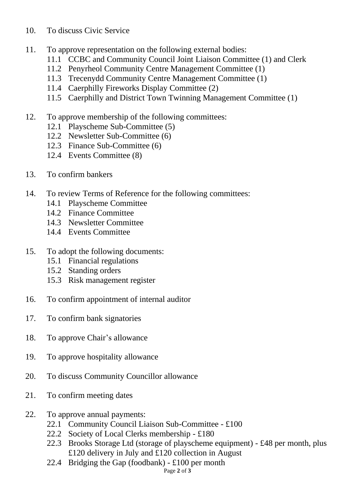## 10. To discuss Civic Service

- 11. To approve representation on the following external bodies:
	- 11.1 CCBC and Community Council Joint Liaison Committee (1) and Clerk
	- 11.2 Penyrheol Community Centre Management Committee (1)
	- 11.3 Trecenydd Community Centre Management Committee (1)
	- 11.4 Caerphilly Fireworks Display Committee (2)
	- 11.5 Caerphilly and District Town Twinning Management Committee (1)
- 12. To approve membership of the following committees:
	- 12.1 Playscheme Sub-Committee (5)
	- 12.2 Newsletter Sub-Committee (6)
	- 12.3 Finance Sub-Committee (6)
	- 12.4 Events Committee (8)
- 13. To confirm bankers
- 14. To review Terms of Reference for the following committees:
	- 14.1 Playscheme Committee
	- 14.2 Finance Committee
	- 14.3 Newsletter Committee
	- 14.4 Events Committee
- 15. To adopt the following documents:
	- 15.1 Financial regulations
	- 15.2 Standing orders
	- 15.3 Risk management register
- 16. To confirm appointment of internal auditor
- 17. To confirm bank signatories
- 18. To approve Chair's allowance
- 19. To approve hospitality allowance
- 20. To discuss Community Councillor allowance
- 21. To confirm meeting dates
- 22. To approve annual payments:
	- 22.1 Community Council Liaison Sub-Committee £100
	- 22.2 Society of Local Clerks membership £180
	- 22.3 Brooks Storage Ltd (storage of playscheme equipment) £48 per month, plus £120 delivery in July and £120 collection in August
	- 22.4 Bridging the Gap (foodbank) £100 per month